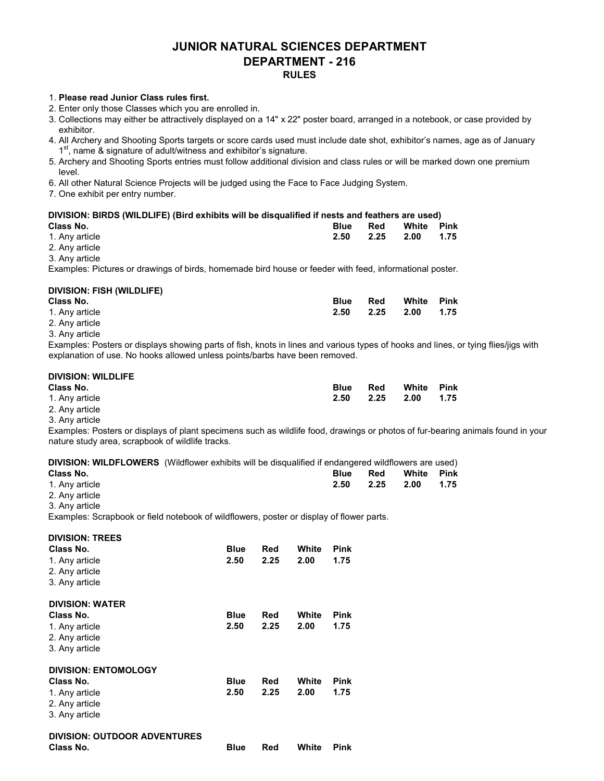#### JUNIOR NATURAL SCIENCES DEPARTMENT DEPARTMENT - 216 RULES

#### 1. Please read Junior Class rules first.

- 2. Enter only those Classes which you are enrolled in.
- 3. Collections may either be attractively displayed on a 14" x 22" poster board, arranged in a notebook, or case provided by exhibitor.
- 4. All Archery and Shooting Sports targets or score cards used must include date shot, exhibitor's names, age as of January 1<sup>st</sup>, name & signature of adult/witness and exhibitor's signature.
- 5. Archery and Shooting Sports entries must follow additional division and class rules or will be marked down one premium level.
- 6. All other Natural Science Projects will be judged using the Face to Face Judging System.
- 7. One exhibit per entry number.

#### DIVISION: BIRDS (WILDLIFE) (Bird exhibits will be disqualified if nests and feathers are used)

| Class No.      | <b>Blue</b> | Red | White Pink     |  |
|----------------|-------------|-----|----------------|--|
| 1. Any article | 2.50        |     | 2.25 2.00 1.75 |  |
| 2 Aprication   |             |     |                |  |

2. Any article 3. Any article

Examples: Pictures or drawings of birds, homemade bird house or feeder with feed, informational poster.

#### DIVISION: FISH (WILDLIFE)

| Class No.      | Blue | Red       | White Pink |      |
|----------------|------|-----------|------------|------|
| 1. Any article | 2.50 | 2.25 2.00 |            | 1.75 |
| 2. Any article |      |           |            |      |

3. Any article

Examples: Posters or displays showing parts of fish, knots in lines and various types of hooks and lines, or tying flies/jigs with explanation of use. No hooks allowed unless points/barbs have been removed.

| <b>DIVISION: WILDLIFE</b> |             |      |       |      |
|---------------------------|-------------|------|-------|------|
| Class No.                 | <b>Blue</b> | Red  | White | Pink |
| 1. Any article            | 2.50        | 2.25 | 2.00  | 1.75 |
| 2. Any article            |             |      |       |      |

3. Any article

Examples: Posters or displays of plant specimens such as wildlife food, drawings or photos of fur-bearing animals found in your nature study area, scrapbook of wildlife tracks.

DIVISION: WILDFLOWERS (Wildflower exhibits will be disqualified if endangered wildflowers are used)

| Class No.      | <b>Blue</b> | Red       | White | <b>Pink</b> |
|----------------|-------------|-----------|-------|-------------|
| 1. Any article | 2.50        | 2.25 2.00 |       | 1.75        |
| 2. Any article |             |           |       |             |

3. Any article

Examples: Scrapbook or field notebook of wildflowers, poster or display of flower parts.

| <b>DIVISION: TREES</b><br>Class No.<br>1. Any article<br>2. Any article<br>3. Any article | <b>Blue</b><br>2.50 | Red<br>2.25 | White<br>2.00 | <b>Pink</b><br>1.75 |
|-------------------------------------------------------------------------------------------|---------------------|-------------|---------------|---------------------|
| <b>DIVISION: WATER</b><br>Class No.<br>1. Any article                                     | <b>Blue</b><br>2.50 | Red<br>2.25 | White<br>2.00 | <b>Pink</b><br>1.75 |
| 2. Any article<br>3. Any article<br><b>DIVISION: ENTOMOLOGY</b>                           |                     |             |               |                     |
| Class No.<br>1. Any article<br>2. Any article<br>3. Any article                           | <b>Blue</b><br>2.50 | Red<br>2.25 | White<br>2.00 | <b>Pink</b><br>1.75 |
| <b>DIVISION: OUTDOOR ADVENTURES</b><br>Class No.                                          | <b>Blue</b>         | Red         | White         | Pink                |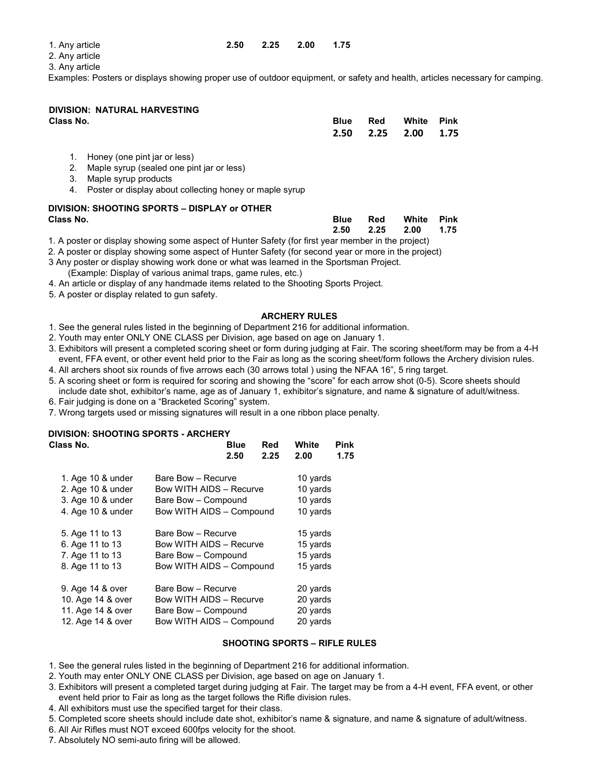| 1. Anv article | 2.50 | 2.25 | 2.00 | 1.75 |
|----------------|------|------|------|------|
|                |      |      |      |      |

2. Any article

3. Any article

Examples: Posters or displays showing proper use of outdoor equipment, or safety and health, articles necessary for camping.

### DIVISION: NATURAL HARVESTING

| Class No. | <b>Blue</b> | Red | White               | Pink |
|-----------|-------------|-----|---------------------|------|
|           |             |     | 2.50 2.25 2.00 1.75 |      |
|           |             |     |                     |      |

- 1. Honey (one pint jar or less)
- 2. Maple syrup (sealed one pint jar or less)
- 3. Maple syrup products
- 4. Poster or display about collecting honey or maple syrup

# DIVISION: SHOOTING SPORTS – DISPLAY or OTHER

Class No. Blue Red White Pink  $2.50$   $2.50$   $2.25$   $2.00$   $1.75$ 

1. A poster or display showing some aspect of Hunter Safety (for first year member in the project)

2. A poster or display showing some aspect of Hunter Safety (for second year or more in the project) 3 Any poster or display showing work done or what was learned in the Sportsman Project. (Example: Display of various animal traps, game rules, etc.)

- 4. An article or display of any handmade items related to the Shooting Sports Project.
- 5. A poster or display related to gun safety.

#### ARCHERY RULES

1. See the general rules listed in the beginning of Department 216 for additional information.

- 2. Youth may enter ONLY ONE CLASS per Division, age based on age on January 1.
- 3. Exhibitors will present a completed scoring sheet or form during judging at Fair. The scoring sheet/form may be from a 4-H event, FFA event, or other event held prior to the Fair as long as the scoring sheet/form follows the Archery division rules. 4. All archers shoot six rounds of five arrows each (30 arrows total ) using the NFAA 16", 5 ring target.
- 5. A scoring sheet or form is required for scoring and showing the "score" for each arrow shot (0-5). Score sheets should
- include date shot, exhibitor's name, age as of January 1, exhibitor's signature, and name & signature of adult/witness.
- 6. Fair judging is done on a "Bracketed Scoring" system.

7. Wrong targets used or missing signatures will result in a one ribbon place penalty.

#### DIVISION: SHOOTING SPORTS - ARCHERY

| 2.50 | Red<br>2.25                                                    | White<br>2.00                                                                                                                                                                                                                                  | Pink<br>1.75 |
|------|----------------------------------------------------------------|------------------------------------------------------------------------------------------------------------------------------------------------------------------------------------------------------------------------------------------------|--------------|
|      |                                                                | 10 yards                                                                                                                                                                                                                                       |              |
|      |                                                                | 10 yards                                                                                                                                                                                                                                       |              |
|      |                                                                | 10 yards                                                                                                                                                                                                                                       |              |
|      |                                                                | 10 yards                                                                                                                                                                                                                                       |              |
|      |                                                                | 15 yards                                                                                                                                                                                                                                       |              |
|      |                                                                | 15 yards                                                                                                                                                                                                                                       |              |
|      |                                                                | 15 yards                                                                                                                                                                                                                                       |              |
|      |                                                                | 15 yards                                                                                                                                                                                                                                       |              |
|      |                                                                | 20 yards                                                                                                                                                                                                                                       |              |
|      |                                                                | 20 yards                                                                                                                                                                                                                                       |              |
|      |                                                                | 20 yards                                                                                                                                                                                                                                       |              |
|      |                                                                | 20 yards                                                                                                                                                                                                                                       |              |
|      | Bare Bow - Recurve<br>Bare Bow - Recurve<br>Bare Bow - Recurve | Blue<br>Bow WITH AIDS - Recurve<br>Bare Bow - Compound<br>Bow WITH AIDS - Compound<br>Bow WITH AIDS - Recurve<br>Bare Bow - Compound<br>Bow WITH AIDS - Compound<br>Bow WITH AIDS - Recurve<br>Bare Bow - Compound<br>Bow WITH AIDS - Compound |              |

#### SHOOTING SPORTS – RIFLE RULES

- 1. See the general rules listed in the beginning of Department 216 for additional information.
- 2. Youth may enter ONLY ONE CLASS per Division, age based on age on January 1.
- 3. Exhibitors will present a completed target during judging at Fair. The target may be from a 4-H event, FFA event, or other event held prior to Fair as long as the target follows the Rifle division rules.
- 4. All exhibitors must use the specified target for their class.
- 5. Completed score sheets should include date shot, exhibitor's name & signature, and name & signature of adult/witness.
- 6. All Air Rifles must NOT exceed 600fps velocity for the shoot.
- 7. Absolutely NO semi-auto firing will be allowed.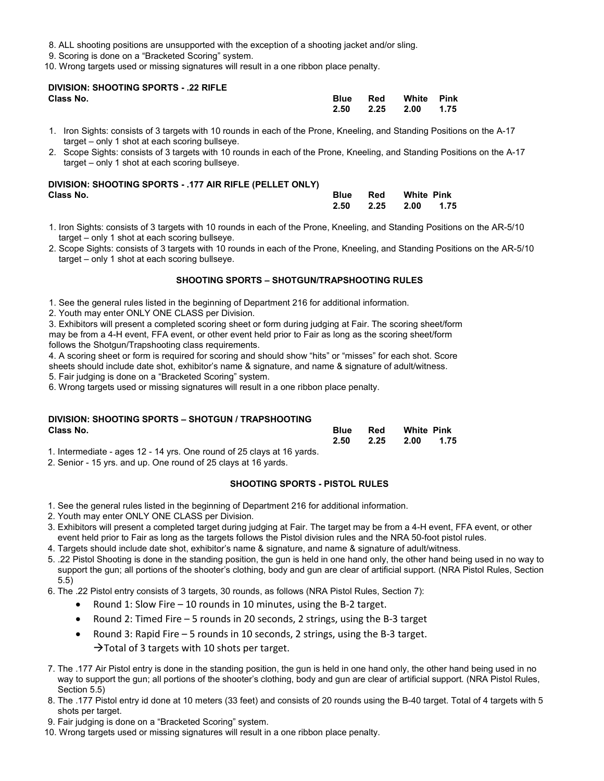- 8. ALL shooting positions are unsupported with the exception of a shooting jacket and/or sling.
- 9. Scoring is done on a "Bracketed Scoring" system.
- 10. Wrong targets used or missing signatures will result in a one ribbon place penalty.

#### DIVISION: SHOOTING SPORTS - .22 RIFLE Class No. Blue Red White Pink

| Class No. | <b>Blue</b> | Red White Pink ! |  |
|-----------|-------------|------------------|--|
|           | 2.50        | 2.25 2.00 1.75   |  |

- 1. Iron Sights: consists of 3 targets with 10 rounds in each of the Prone, Kneeling, and Standing Positions on the A-17 target – only 1 shot at each scoring bullseye.
- 2. Scope Sights: consists of 3 targets with 10 rounds in each of the Prone, Kneeling, and Standing Positions on the A-17 target – only 1 shot at each scoring bullseye.

#### DIVISION: SHOOTING SPORTS - .177 AIR RIFLE (PELLET ONLY) Class No. Blue Red White Pink

| Class No. |  | <b>Blue</b> Red White Pink |  |
|-----------|--|----------------------------|--|
|           |  | 2.50 2.25 2.00 1.75        |  |

- 1. Iron Sights: consists of 3 targets with 10 rounds in each of the Prone, Kneeling, and Standing Positions on the AR-5/10 target – only 1 shot at each scoring bullseye.
- 2. Scope Sights: consists of 3 targets with 10 rounds in each of the Prone, Kneeling, and Standing Positions on the AR-5/10 target – only 1 shot at each scoring bullseye.

#### SHOOTING SPORTS – SHOTGUN/TRAPSHOOTING RULES

- 1. See the general rules listed in the beginning of Department 216 for additional information.
- 2. Youth may enter ONLY ONE CLASS per Division.

3. Exhibitors will present a completed scoring sheet or form during judging at Fair. The scoring sheet/form may be from a 4-H event, FFA event, or other event held prior to Fair as long as the scoring sheet/form follows the Shotgun/Trapshooting class requirements.

4. A scoring sheet or form is required for scoring and should show "hits" or "misses" for each shot. Score sheets should include date shot, exhibitor's name & signature, and name & signature of adult/witness.

5. Fair judging is done on a "Bracketed Scoring" system.

6. Wrong targets used or missing signatures will result in a one ribbon place penalty.

### DIVISION: SHOOTING SPORTS – SHOTGUN / TRAPSHOOTING

| Class No.                                                              |      | Red       | <b>White Pink</b> |      |  |
|------------------------------------------------------------------------|------|-----------|-------------------|------|--|
|                                                                        | 2.50 | 2.25 2.00 |                   | 1.75 |  |
| 1. Intermediate - ages 12 - 14 yrs. One round of 25 clays at 16 yards. |      |           |                   |      |  |

2. Senior - 15 yrs. and up. One round of 25 clays at 16 yards.

#### SHOOTING SPORTS - PISTOL RULES

- 1. See the general rules listed in the beginning of Department 216 for additional information.
- 2. Youth may enter ONLY ONE CLASS per Division.
- 3. Exhibitors will present a completed target during judging at Fair. The target may be from a 4-H event, FFA event, or other event held prior to Fair as long as the targets follows the Pistol division rules and the NRA 50-foot pistol rules.
- 4. Targets should include date shot, exhibitor's name & signature, and name & signature of adult/witness.
- 5. .22 Pistol Shooting is done in the standing position, the gun is held in one hand only, the other hand being used in no way to support the gun; all portions of the shooter's clothing, body and gun are clear of artificial support. (NRA Pistol Rules, Section 5.5)
- 6. The .22 Pistol entry consists of 3 targets, 30 rounds, as follows (NRA Pistol Rules, Section 7):
	- Round 1: Slow Fire 10 rounds in 10 minutes, using the B-2 target.
	- Round 2: Timed Fire 5 rounds in 20 seconds, 2 strings, using the B-3 target
	- Round 3: Rapid Fire 5 rounds in 10 seconds, 2 strings, using the B-3 target.  $\rightarrow$  Total of 3 targets with 10 shots per target.
- 7. The .177 Air Pistol entry is done in the standing position, the gun is held in one hand only, the other hand being used in no way to support the gun; all portions of the shooter's clothing, body and gun are clear of artificial support. (NRA Pistol Rules, Section 5.5)
- 8. The .177 Pistol entry id done at 10 meters (33 feet) and consists of 20 rounds using the B-40 target. Total of 4 targets with 5 shots per target.
- 9. Fair judging is done on a "Bracketed Scoring" system.
- 10. Wrong targets used or missing signatures will result in a one ribbon place penalty.